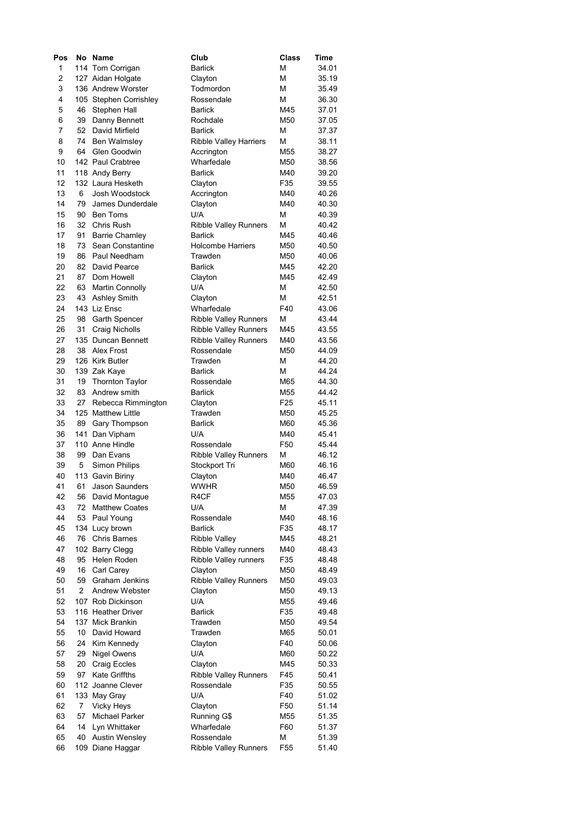| Pos            |    | No Name                | Club                         | Class           | <b>Time</b>    |
|----------------|----|------------------------|------------------------------|-----------------|----------------|
| 1              |    | 114 Tom Corrigan       | <b>Barlick</b>               | м               | 34.01          |
| $\overline{c}$ |    | 127 Aidan Holgate      | Clayton                      | м               | 35.19          |
| 3              |    | 136 Andrew Worster     | Todmordon                    | м               | 35.49          |
| 4              |    | 105 Stephen Corrishley | Rossendale                   | м               | 36.30          |
| 5              | 46 | Stephen Hall           | <b>Barlick</b>               | M45             | 37.01          |
| 6              | 39 | Danny Bennett          | Rochdale                     | M50             | 37.05          |
| 7              | 52 | David Mirfield         | <b>Barlick</b>               | м               | 37.37          |
| 8              | 74 | <b>Ben Walmsley</b>    | Ribble Valley Harriers       | м               | 38.11          |
| 9              | 64 | Glen Goodwin           | Accrington                   | M55             | 38.27          |
| 10             |    | 142 Paul Crabtree      | Wharfedale                   | M50             | 38.56          |
| 11             |    | 118 Andy Berry         | <b>Barlick</b>               | M40             | 39.20          |
| 12             |    | 132 Laura Hesketh      | Clayton                      | F35             | 39.55          |
| 13             | 6  | Josh Woodstock         | Accrington                   | M40             | 40.26          |
| 14             | 79 | James Dunderdale       | Clayton                      | M40             | 40.30          |
| 15             | 90 | <b>Ben Toms</b>        | U/A                          | м               | 40.39          |
| 16             | 32 | Chris Rush             | Ribble Valley Runners        | м               | 40.42          |
| 17             | 91 | <b>Barrie Charnley</b> | <b>Barlick</b>               | M45             | 40.46          |
| 18             | 73 | Sean Constantine       | <b>Holcombe Harriers</b>     | M50             | 40.50          |
| 19             | 86 | Paul Needham           | Trawden                      | M50             | 40.06          |
| 20             | 82 | David Pearce           | <b>Barlick</b>               | M45             | 42.20          |
| 21             | 87 | Dom Howell             | Clayton                      | M45             | 42.49          |
| 22             | 63 | <b>Martin Connolly</b> | U/A                          | м               | 42.50          |
| 23             | 43 | <b>Ashley Smith</b>    | Clayton                      | м               | 42.51          |
| 24             |    | 143 Liz Ensc           | Wharfedale                   | F40             | 43.06          |
| 25             | 98 | Garth Spencer          | <b>Ribble Valley Runners</b> | м               | 43.44          |
| 26             | 31 | Craig Nicholls         | <b>Ribble Valley Runners</b> | M45             | 43.55          |
| 27             |    | 135 Duncan Bennett     | <b>Ribble Valley Runners</b> | M40             | 43.56          |
| 28             | 38 | Alex Frost             | Rossendale                   | M50             |                |
| 29             |    | 126 Kirk Butler        | Trawden                      | м               | 44.09<br>44.20 |
|                |    |                        |                              |                 |                |
| 30             |    | 139 Zak Kaye           | <b>Barlick</b>               | м               | 44.24          |
| 31             | 19 | <b>Thornton Taylor</b> | Rossendale                   | M65             | 44.30          |
| 32             | 83 | Andrew smith           | <b>Barlick</b>               | M55             | 44.42          |
| 33             | 27 | Rebecca Rimmington     | Clayton                      | F25             | 45.11          |
| 34             |    | 125 Matthew Little     | Trawden                      | M50             | 45.25          |
| 35             | 89 | Gary Thompson          | <b>Barlick</b>               | M60             | 45.36          |
| 36             |    | 141 Dan Vipham         | U/A                          | M40             | 45.41          |
| 37             |    | 110 Anne Hindle        | Rossendale                   | F50             | 45.44          |
| 38             | 99 | Dan Evans              | Ribble Valley Runners        | м               | 46.12          |
| 39             | 5  | <b>Simon Philips</b>   | Stockport Tri                | M60             | 46.16          |
| 40             |    | 113 Gavin Biriny       | Clayton                      | M40             | 46.47          |
| 41             |    | 61 Jason Saunders      | <b>WWHR</b>                  | M50             | 46.59          |
| 42             | 56 | David Montague         | R <sub>4</sub> CF            | M55             | 47.03          |
| 43             | 72 | <b>Matthew Coates</b>  | U/A                          | м               | 47.39          |
| 44             | 53 | Paul Young             | Rossendale                   | M40             | 48.16          |
| 45             |    | 134 Lucy brown         | <b>Barlick</b>               | F35             | 48.17          |
| 46             | 76 | <b>Chris Barnes</b>    | <b>Ribble Valley</b>         | M45             | 48.21          |
| 47             |    | 102 Barry Clegg        | Ribble Valley runners        | M40             | 48.43          |
| 48             | 95 | Helen Roden            | Ribble Valley runners        | F35             | 48.48          |
| 49             | 16 | Carl Carey             | Clayton                      | M50             | 48.49          |
| 50             | 59 | Graham Jenkins         | <b>Ribble Valley Runners</b> | M50             | 49.03          |
| 51             | 2  | <b>Andrew Webster</b>  | Clayton                      | M50             | 49.13          |
| 52             |    | 107 Rob Dickinson      | U/A                          | M55             | 49.46          |
| 53             |    | 116 Heather Driver     | <b>Barlick</b>               | F35             | 49.48          |
| 54             |    | 137 Mick Brankin       | Trawden                      | M50             | 49.54          |
| 55             | 10 | David Howard           | Trawden                      | M65             | 50.01          |
| 56             | 24 | Kim Kennedy            | Clayton                      | F40             | 50.06          |
| 57             | 29 | <b>Nigel Owens</b>     | U/A                          | M60             | 50.22          |
| 58             | 20 | <b>Craig Eccles</b>    | Clayton                      | M45             | 50.33          |
| 59             | 97 | <b>Kate Griffths</b>   | Ribble Valley Runners        | F45             | 50.41          |
| 60             |    | 112 Joanne Clever      | Rossendale                   | F35             | 50.55          |
| 61             |    | 133 May Gray           | U/A                          | F40             | 51.02          |
| 62             | 7  | Vicky Heys             | Clayton                      | F50             | 51.14          |
| 63             | 57 | Michael Parker         | Running G\$                  | M55             | 51.35          |
| 64             | 14 | Lyn Whittaker          | Wharfedale                   | F60             | 51.37          |
| 65             | 40 | <b>Austin Wensley</b>  | Rossendale                   | м               | 51.39          |
| 66             |    | 109 Diane Haggar       | <b>Ribble Valley Runners</b> | F <sub>55</sub> | 51.40          |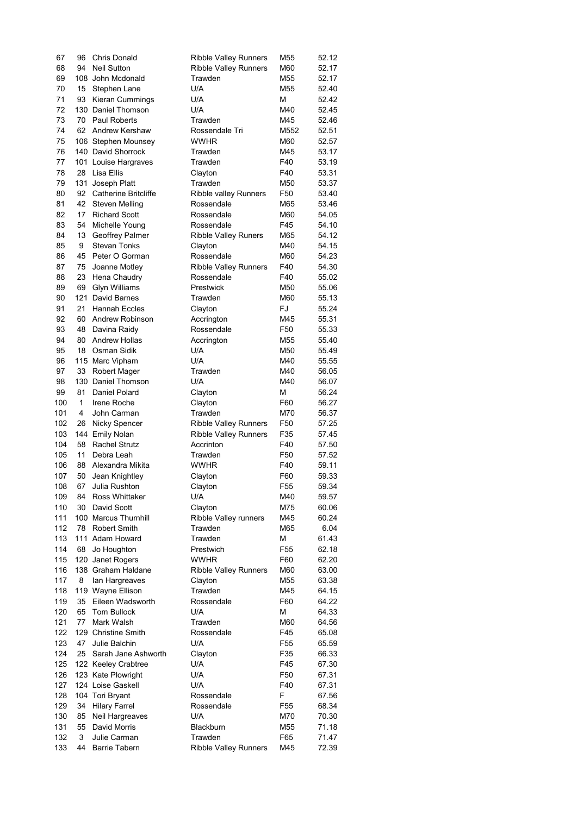| 67  | 96       | <b>Chris Donald</b>                | <b>Ribble Valley Runners</b> | M55             | 52.12 |
|-----|----------|------------------------------------|------------------------------|-----------------|-------|
| 68  | 94       | <b>Neil Sutton</b>                 | <b>Ribble Valley Runners</b> | M60             | 52.17 |
| 69  |          | 108 John Mcdonald                  | Trawden                      | M55             | 52.17 |
| 70  | 15       | Stephen Lane                       | U/A                          | M55             | 52.40 |
| 71  | 93       | Kieran Cummings                    | U/A                          | м               | 52.42 |
| 72  |          | 130 Daniel Thomson                 | U/A                          | M40             | 52.45 |
| 73  | 70       | <b>Paul Roberts</b>                | Trawden                      | M45             | 52.46 |
| 74  | 62       | Andrew Kershaw                     | Rossendale Tri               | M552            | 52.51 |
| 75  |          | 106 Stephen Mounsey                | <b>WWHR</b>                  | M60             | 52.57 |
| 76  |          | 140 David Shorrock                 | Trawden                      | M45             | 53.17 |
| 77  |          | 101 Louise Hargraves               | Trawden                      | F40             | 53.19 |
| 78  | 28       | Lisa Ellis                         | Clayton                      | F40             | 53.31 |
| 79  | 131      | Joseph Platt                       | Trawden                      | M50             | 53.37 |
| 80  | 92       | <b>Catherine Britcliffe</b>        | Ribble valley Runners        | F50             | 53.40 |
| 81  | 42       | <b>Steven Melling</b>              | Rossendale                   | M65             | 53.46 |
| 82  | 17       | <b>Richard Scott</b>               | Rossendale                   | M60             | 54.05 |
| 83  | 54       | Michelle Young                     | Rossendale                   | F45             | 54.10 |
| 84  | 13       | Geoffrey Palmer                    | <b>Ribble Valley Runers</b>  | M65             | 54.12 |
| 85  | 9        | <b>Stevan Tonks</b>                | Clayton                      | M40             | 54.15 |
| 86  | 45       | Peter O Gorman                     | Rossendale                   | M60             | 54.23 |
| 87  | 75       | Joanne Motley                      | <b>Ribble Valley Runners</b> | F40             | 54.30 |
| 88  | 23       | Hena Chaudry                       | Rossendale                   | F40             | 55.02 |
| 89  | 69       | <b>Glyn Williams</b>               | Prestwick                    | M50             | 55.06 |
| 90  |          | 121 David Barnes                   | Trawden                      | M60             | 55.13 |
| 91  | 21       | <b>Hannah Eccles</b>               | Clayton                      | FJ              | 55.24 |
| 92  | 60       | Andrew Robinson                    | Accrington                   | M45             | 55.31 |
| 93  | 48       | Davina Raidy                       | Rossendale                   | F50             | 55.33 |
| 94  | 80       | Andrew Hollas                      | Accrington                   | M55             | 55.40 |
| 95  | 18       | Osman Sidik                        | U/A                          | M50             | 55.49 |
| 96  |          | 115 Marc Vipham                    | U/A                          | M40             | 55.55 |
| 97  | 33       | Robert Mager                       | Trawden                      | M40             | 56.05 |
| 98  |          | 130 Daniel Thomson                 | U/A                          | M40             | 56.07 |
| 99  | 81       | Daniel Polard                      | Clayton                      | м               | 56.24 |
| 100 | 1        | Irene Roche                        | Clayton                      | F60             | 56.27 |
| 101 | 4        | John Carman                        | Trawden                      | M70             |       |
|     |          |                                    |                              |                 | 56.37 |
| 102 | 26       | Nicky Spencer                      | <b>Ribble Valley Runners</b> | F50             | 57.25 |
| 103 |          | 144 Emily Nolan                    | Ribble Valley Runners        | F35             | 57.45 |
| 104 | 58<br>11 | <b>Rachel Strutz</b><br>Debra Leah | Accrinton                    | F40             | 57.50 |
| 105 |          |                                    | Trawden<br><b>WWHR</b>       | F50             | 57.52 |
| 106 | 88       | Alexandra Mikita                   |                              | F40             | 59.11 |
| 107 | 50       | Jean Knightley                     | Clayton                      | F60             | 59.33 |
| 108 |          | 67 Julia Rushton                   | Clayton                      | F <sub>55</sub> | 59.34 |
| 109 | 84       | <b>Ross Whittaker</b>              | U/A                          | M40             | 59.57 |
| 110 | 30       | David Scott                        | Clayton                      | M75             | 60.06 |
| 111 |          | 100 Marcus Thurnhill               | Ribble Valley runners        | M45             | 60.24 |
| 112 | 78       | <b>Robert Smith</b>                | Trawden                      | M65             | 6.04  |
| 113 |          | 111 Adam Howard                    | Trawden                      | М               | 61.43 |
| 114 | 68       | Jo Houghton                        | Prestwich                    | F55             | 62.18 |
| 115 |          | 120 Janet Rogers                   | <b>WWHR</b>                  | F60             | 62.20 |
| 116 |          | 138 Graham Haldane                 | Ribble Valley Runners        | M60             | 63.00 |
| 117 | 8        | Ian Hargreaves                     | Clayton                      | M55             | 63.38 |
| 118 |          | 119 Wayne Ellison                  | Trawden                      | M45             | 64.15 |
| 119 | 35       | Eileen Wadsworth                   | Rossendale                   | F60             | 64.22 |
| 120 | 65       | <b>Tom Bullock</b>                 | U/A                          | м               | 64.33 |
| 121 | 77       | Mark Walsh                         | Trawden                      | M60             | 64.56 |
| 122 |          | 129 Christine Smith                | Rossendale                   | F45             | 65.08 |
| 123 | 47       | Julie Balchin                      | U/A                          | F55             | 65.59 |
| 124 | 25       | Sarah Jane Ashworth                | Clayton                      | F35             | 66.33 |
| 125 |          | 122 Keeley Crabtree                | U/A                          | F45             | 67.30 |
| 126 |          | 123 Kate Plowright                 | U/A                          | F50             | 67.31 |
| 127 |          | 124 Loise Gaskell                  | U/A                          | F40             | 67.31 |
| 128 |          | 104 Tori Bryant                    | Rossendale                   | F               | 67.56 |
| 129 | 34       | <b>Hilary Farrel</b>               | Rossendale                   | F <sub>55</sub> | 68.34 |
| 130 | 85       | Neil Hargreaves                    | U/A                          | M70             | 70.30 |
| 131 | 55       | David Morris                       | Blackburn                    | M55             | 71.18 |
| 132 | 3        | Julie Carman                       | Trawden                      | F65             | 71.47 |
| 133 | 44       | <b>Barrie Tabern</b>               | <b>Ribble Valley Runners</b> | M45             | 72.39 |